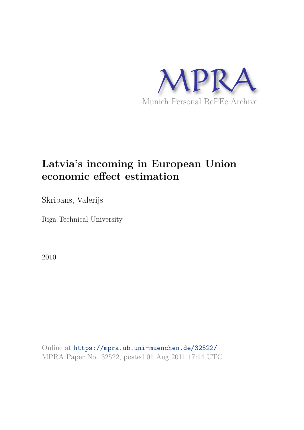

# **Latvia's incoming in European Union economic effect estimation**

Skribans, Valerijs

Riga Technical University

2010

Online at https://mpra.ub.uni-muenchen.de/32522/ MPRA Paper No. 32522, posted 01 Aug 2011 17:14 UTC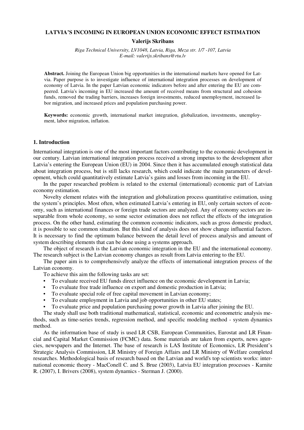## **LATVIA'S INCOMING IN EUROPEAN UNION ECONOMIC EFFECT ESTIMATION**

## **Valerijs Skribans**

*Riga Technical University, LV1048, Latvia, Riga, Meza str. 1/7 -107, Latvia E-mail: valerijs.skribans@rtu.lv* 

**Abstract.** Joining the European Union big opportunities in the international markets have opened for Latvia. Paper purpose is to investigate influence of international integration processes on development of economy of Latvia. In the paper Latvian economic indicators before and after entering the EU are compeered. Latvia's incoming in EU increased the amount of received means from structural and cohesion funds, removed the trading barriers, increases foreign investments, reduced unemployment, increased labor migration, and increased prices and population purchasing power.

**Keywords:** economic growth, international market integration, globalization, investments, unemployment, labor migration, inflation.

## **1. Introduction**

International integration is one of the most important factors contributing to the economic development in our century. Latvian international integration process received a strong impetus to the development after Latvia's entering the European Union (EU) in 2004. Since then it has accumulated enough statistical data about integration process, but is still lacks research, which could indicate the main parameters of development, which could quantitatively estimate Latvia's gains and losses from incoming in the EU.

In the paper researched problem is related to the external (international) economic part of Latvian economy estimation.

Novelty element relates with the integration and globalization process quantitative estimation, using the system's principles. Most often, when estimated Latvia's entering in EU, only certain sectors of economy, such as international finances or foreign trade sectors are analyzed. Any of economy sectors are inseparable from whole economy, so some sector estimation does not reflect the effects of the integration process. On the other hand, estimating the common economic indicators, such as gross domestic product, it is possible to see common situation. But this kind of analysis does not show change influential factors. It is necessary to find the optimum balance between the detail level of process analysis and amount of system describing elements that can be done using a systems approach.

The object of research is the Latvian economic integration in the EU and the international economy. The research subject is the Latvian economy changes as result from Latvia entering to the EU.

The paper aim is to comprehensively analyze the effects of international integration process of the Latvian economy.

To achieve this aim the following tasks are set:

- To evaluate received EU funds direct influence on the economic development in Latvia;
- To evaluate free trade influence on export and domestic production in Latvia;
- To evaluate special role of free capital movement in Latvian economy;
- To evaluate employment in Latvia and job opportunities in other EU states;
- To evaluate price and population purchasing power growth in Latvia after joining the EU.

The study shall use both traditional mathematical, statistical, economic and econometric analysis methods, such as time-series trends, regression method, and specific modeling method - system dynamics method.

As the information base of study is used LR CSB, European Communities, Eurostat and LR Financial and Capital Market Commission (FCMC) data. Some materials are taken from experts, news agencies, newspapers and the Internet. The base of research is LAS Institute of Economics, LR President's Strategic Analysis Commission, LR Ministry of Foreign Affairs and LR Ministry of Welfare completed researches. Methodological basis of research based on the Latvian and world's top scientists works: international economic theory - MacConell C. and S. Brue (2003), Latvia EU integration processes - Karnite R. (2007), I. Brivers (2008), system dynamics - Sterman J. (2000).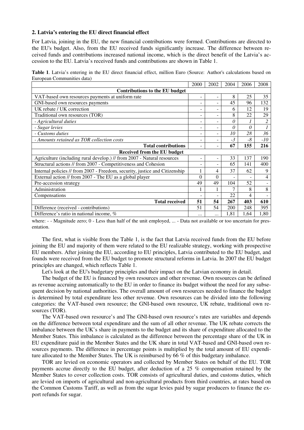#### **2. Latvia's entering the EU direct financial effect**

For Latvia, joining in the EU, the new financial contributions were formed. Contributions are directed to the EU's budget. Also, from the EU received funds significantly increase. The difference between received funds and contributions increased national income, which is the direct benefit of the Latvia's accession to the EU. Latvia's received funds and contributions are shown in Table 1.

**Table 1**. Latvia's entering in the EU direct financial effect, million Euro (Source: Author's calculations based on European Communities data)

|                                                                             | 2000     | 2002                     | 2004     | 2006     | 2008  |
|-----------------------------------------------------------------------------|----------|--------------------------|----------|----------|-------|
| Contributions to the EU budget                                              |          |                          |          |          |       |
| VAT-based own resources payments at uniform rate                            | -        | -                        | 8        | 25       | 35    |
| GNI-based own resources payments                                            |          | -                        | 45       | 96       | 132   |
| UK rebate / UK correction                                                   |          | -                        | 6        | 12       | 19    |
| Traditional own resources (TOR)                                             |          | -                        | 8        | 22       | 29    |
| - Agricultural duties                                                       |          | -                        | $\theta$ |          | 2     |
| - Sugar levies                                                              |          | -                        | 0        | $\theta$ |       |
| - Customs duties                                                            |          | ۰                        | 10       | 28       | 36    |
| - Amounts retained as TOR collection costs                                  |          | ۰                        | $-3$     | -8       | $-10$ |
| <b>Total contributions</b>                                                  |          | -                        | 67       | 155      | 216   |
| Received from the EU budget                                                 |          |                          |          |          |       |
| Agriculture (including rural develop.) // from 2007 - Natural resources     | -        | $\overline{\phantom{a}}$ | 33       | 137      | 190   |
| Structural actions // from 2007 - Competitiveness and Cohesion              | -        | ۰                        | 65       | 141      | 400   |
| Internal policies // from 2007 - Freedom, security, justice and Citizenship |          | 4                        | 37       | 62       | 9     |
| External action // from 2007 - The EU as a global player                    | $\Omega$ | $\theta$                 |          |          | 4     |
| Pre-accession strategy                                                      | 49       | 49                       | 104      | 52       |       |
| Administration                                                              |          |                          | 7        | 8        | 8     |
| Compensations                                                               |          | -                        | 22       | 4        |       |
| <b>Total received</b>                                                       | 51       | 54                       | 267      | 403      | 610   |
| Difference (received - contributions)                                       | 51       | 54                       | 200      | 248      | 395   |
| Difference's ratio in national income, %                                    | $\cdots$ |                          | 1,81     | 1,64     | 1,80  |

where: - - Magnitude zero; 0 - Less than half of the unit employed, ... - Data not available or too uncertain for presentation.

The first, what is visible from the Table 1, is the fact that Latvia received funds from the EU before joining the EU and majority of them were related to the EU realizable strategy, working with prospective EU members. After joining the EU, according to EU principles, Latvia contributed to the EU budget, and founds were received from the EU budget to promote structural reforms in Latvia. In 2007 the EU budget principles are changed, which reflects Table 1.

Let's look at the EU's budgetary principles and their impact on the Latvian economy in detail.

The budget of the EU is financed by own resources and other revenue. Own resources can be defined as revenue accruing automatically to the EU in order to finance its budget without the need for any subsequent decision by national authorities. The overall amount of own resources needed to finance the budget is determined by total expenditure less other revenue. Own resources can be divided into the following categories: the VAT-based own resource; the GNI-based own resource, UK rebate, traditional own resources (TOR).

The VAT-based own resource's and The GNI-based own resource's rates are variables and depends on the difference between total expenditure and the sum of all other revenue. The UK rebate corrects the imbalance between the UK's share in payments to the budget and its share of expenditure allocated to the Member States. This imbalance is calculated as the difference between the percentage share of the UK in EU expenditure paid in the Member States and the UK share in total VAT-based and GNI-based own resources payments. The difference in percentage points is multiplied by the total amount of EU expenditure allocated to the Member States. The UK is reimbursed by 66 % of this budgetary imbalance.

TOR are levied on economic operators and collected by Member States on behalf of the EU. TOR payments accrue directly to the EU budget, after deduction of a 25 % compensation retained by the Member States to cover collection costs. TOR consists of agricultural duties, and customs duties, which are levied on imports of agricultural and non-agricultural products from third countries, at rates based on the Common Customs Tariff, as well as from the sugar levies paid by sugar producers to finance the export refunds for sugar.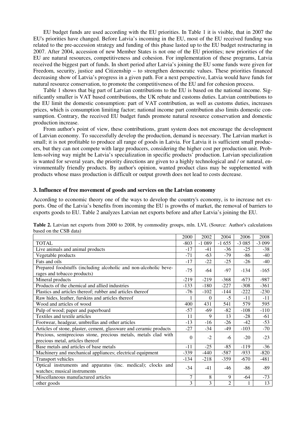EU budget funds are used according with the EU priorities. In Table 1 it is visible, that in 2007 the EU's priorities have changed. Before Latvia's incoming in the EU, most of the EU received funding was related to the pre-accession strategy and funding of this phase lasted up to the EU budget restructuring in 2007. After 2004, accession of new Member States is not one of the EU priorities; new priorities of the EU are natural resources, competitiveness and cohesion. For implementation of these programs, Latvia received the biggest part of funds. In short period after Latvia's joining the EU some funds were given for Freedom, security, justice and Citizenship – to strengthen democratic values. These priorities financed decreasing show of Latvia's progress in a given path. For a next perspective, Latvia would have funds for natural resource conservation, to promote the competitiveness of the EU and for cohesion process.

Table 1 shows that big part of Latvian contributions to the EU is based on the national income. Significantly smaller is VAT based contributions, the UK rebate and customs duties. Latvian contributions to the EU limit the domestic consumption: part of VAT contribution, as well as customs duties, increases prices, which is consumption limiting factor; national income part contribution also limits domestic consumption. Contrary, the received EU budget funds promote natural resource conservation and domestic production increase.

From author's point of view, these contributions, grant system does not encourage the development of Latvian economy. To successfully develop the production, demand is necessary. The Latvian market is small; it is not profitable to produce all range of goods in Latvia. For Latvia it is sufficient small producers, but they can not compete with large producers, considering the higher cost per production unit. Problem-solving way might be Latvia's specialization in specific products' production. Latvian specialization is wanted for several years, the priority directions are given to a highly technological and / or natural, environmentally friendly products. By author's opinion, wanted product class may be supplemented with products whose mass production is difficult or output growth does not lead to costs decrease.

#### **3. Influence of free movement of goods and services on the Latvian economy**

According to economic theory one of the ways to develop the country's economy, is to increase net exports. One of the Latvia's benefits from incoming the EU is growths of market, the removal of barriers to exports goods to EU. Table 2 analyzes Latvian net exports before and after Latvia's joining the EU.

|                                                                    | 2000   | 2002     | 2004           | 2006    | 2008    |
|--------------------------------------------------------------------|--------|----------|----------------|---------|---------|
| <b>TOTAL</b>                                                       | $-803$ | $-1089$  | $-1655$        | $-3085$ | $-3099$ |
| Live animals and animal products                                   | $-17$  | $-41$    | $-36$          | $-25$   | $-38$   |
| Vegetable products                                                 | $-71$  | $-63$    | $-79$          | $-86$   | -40     |
| Fats and oils                                                      | $-17$  | $-22$    | $-25$          | $-26$   | $-40$   |
| Prepared foodstuffs (including alcoholic and non-alcoholic beve-   | $-75$  | -64      | $-97$          | $-134$  | $-165$  |
| rages and tobacco products)                                        |        |          |                |         |         |
| Mineral products                                                   | $-219$ | $-219$   | $-368$         | $-673$  | $-987$  |
| Products of the chemical and allied industries                     | $-133$ | $-180$   | $-227$         | $-308$  | $-361$  |
| Plastics and articles thereof; rubber and articles thereof         | $-76$  | $-102$   | $-144$         | $-222$  | $-230$  |
| Raw hides, leather, furskins and articles thereof                  | 1      | $\Omega$ | $-5$           | $-11$   | $-11$   |
| Wood and articles of wood                                          | 400    | 431      | 541            | 579     | 595     |
| Pulp of wood; paper and paperboard                                 | $-57$  | $-69$    | $-82$          | $-108$  | $-110$  |
| Textiles and textile articles                                      | 11     | 9        | 13             | $-28$   | $-61$   |
| Footwear, headgear, umbrellas and other articles                   | $-13$  | $-16$    | $-26$          | $-42$   | $-53$   |
| Articles of stone, plaster, cement, glassware and ceramic products | $-27$  | $-34$    | $-49$          | $-103$  | $-70$   |
| Precious, semiprecious stone, precious metals, metals clad with    | 0      | $-2$     | -6             | $-20$   | $-23$   |
| precious metal, articles thereof                                   |        |          |                |         |         |
| Base metals and articles of base metals                            | $-11$  | $-25$    | $-85$          | $-119$  | $-36$   |
| Machinery and mechanical appliances; electrical equipment          | $-339$ | $-440$   | $-587$         | $-933$  | $-820$  |
| Transport vehicles                                                 | $-134$ | $-218$   | $-359$         | $-670$  | $-481$  |
| Optical instruments and apparatus (inc. medical); clocks and       |        | $-41$    | -46            | -86     | -89     |
| watches; musical instruments                                       | $-34$  |          |                |         |         |
| Miscellaneous manufactured articles                                | 7      | 8        | 9              | -64     | $-73$   |
| other goods                                                        | 3      | 3        | $\mathfrak{D}$ |         | 13      |

**Table 2.** Latvian net exports from 2000 to 2008, by commodity groups, mln. LVL (Source: Author's calculations based on the CSB data)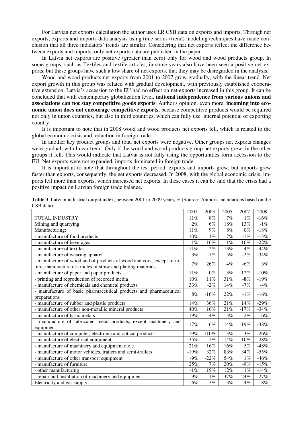For Latvian net exports calculation the author uses LR CSB data on exports and imports. Through net exports, exports and imports data analysis using time series (trend) modeling techniques have made conclusion that all three indicators' trends are similar. Considering that net exports reflect the difference between exports and imports, only net exports data are published in the paper.

In Latvia net exports are positive (greater than zero) only for wood and wood products group. In some groups, such as Textiles and textile articles, in some years also have been seen a positive net exports, but these groups have such a low share of net exports, that they may be disregarded in the analysis.

Wood and wood products net exports from 2001 to 2007 grow gradually, with the linear trend. Net export growth in this group was related with gradual development, with previously established cooperative extension. Latvia's accession to the EU had no effect on net exports increased in this group. It can be concluded that with contemporary globalization level, **national independence from various unions and associations can not stay competitive goods exports**. Author's opinion, even more, **incoming into economic union does not encourage competitive exports**, because competitive products would be required not only in union countries, but also in third countries, which can fully use internal potential of exporting country.

It is important to note that in 2008 wood and wood products net exports fell, which is related to the global economic crisis and reduction in foreign trade.

In another key product groups and total net exports were negative. Other groups net exports changes were gradual, with linear trend. Only if the wood and wood products group net exports grew, in the other groups it fell. This would indicate that Latvia is not fully using the opportunities form accession to the EU. Net exports were not expanded, imports dominated in foreign trade.

It is important to note that throughout the test period, exports and imports grew, but imports grew faster than exports, consequently, the net exports decreased. In 2008, with the global economic crisis, imports fell more than exports, which increased net exports. In these cases it can be said that the crisis had a positive impact on Latvian foreign trade balance.

|                                                                                                                                        | 2001   | 2003   | 2005   | 2007   | 2009    |
|----------------------------------------------------------------------------------------------------------------------------------------|--------|--------|--------|--------|---------|
| <b>TOTAL INDUSTRY</b>                                                                                                                  | 11%    | 8%     | 7%     | $1\%$  | $-16%$  |
| Mining and quarrying                                                                                                                   | $2\%$  | $6\%$  | 18%    | 13%    | $-1%$   |
| Manufacturing:                                                                                                                         | 11%    | 9%     | 8%     | $0\%$  | $-18%$  |
| - manufacture of food products                                                                                                         | 10%    | $1\%$  | 7%     | $-1\%$ | $-13%$  |
| - manufacture of beverages                                                                                                             | $1\%$  | 16%    | $1\%$  | $10\%$ | $-22%$  |
| - manufacture of textiles                                                                                                              | 11%    | 2%     | 13%    | 4%     | $-44%$  |
| - manufacture of wearing apparel                                                                                                       | 3%     | $-7%$  | 5%     | $-2%$  | $-34%$  |
| - manufacture of wood and of products of wood and cork, except furni-<br>ture; manufacture of articles of straw and plaiting materials | 7%     | 26%    | $4\%$  | $-6\%$ | 3%      |
| - manufacture of paper and paper products                                                                                              | 11%    | $0\%$  | 3%     | 12%    | $-10\%$ |
| - printing and reproduction of recorded media                                                                                          | $10\%$ | 11%    | 31%    | $-8%$  | $-19%$  |
| - manufacture of chemicals and chemical products                                                                                       | 33%    | $-2%$  | 14%    | $-7%$  | $-4%$   |
| - manufacture of basic pharmaceutical products and pharmaceutical<br>preparations                                                      | 8%     | $-16%$ | 22%    | $-1\%$ | $-16%$  |
| - manufacture of rubber and plastic products                                                                                           | 14%    | 36%    | $21\%$ | 14%    | $-29%$  |
| - manufacture of other non-metallic mineral products                                                                                   | 40%    | 10%    | 21%    | $-17%$ | $-34%$  |
| - manufacture of basic metals                                                                                                          | 19%    | 4%     | $-3%$  | 2%     | $-6%$   |
| - manufacture of fabricated metal products, except machinery and<br>equipment                                                          | 17%    | $6\%$  | 14%    | 19%    | $-38%$  |
| - manufacture of computer, electronic and optical products                                                                             | $-19%$ | 110%   | $-3%$  | $-3%$  | $-26%$  |
| - manufacture of electrical equipment                                                                                                  | 35%    | 2%     | 14%    | 10%    | $-28%$  |
| - manufacture of machinery and equipment n.e.c.                                                                                        | 21%    | 16%    | 16%    | 5%     | $-48%$  |
| - manufacture of motor vehicles, trailers and semi-trailers                                                                            | $-19%$ | 32%    | 83%    | 34%    | $-55%$  |
| - manufacture of other transport equipment                                                                                             | $-9%$  | $-22%$ | 54%    | $1\%$  | $-46%$  |
| - manufacture of furniture                                                                                                             | 25%    | 7%     | 20%    | $-9%$  | $-15%$  |
| - other manufacturing                                                                                                                  | $-1\%$ | 19%    | 12%    | $1\%$  | $-14%$  |
| - repair and installation of machinery and equipment                                                                                   | 9%     | $-1\%$ | $-37%$ | $24\%$ | $-27%$  |
| Electricity and gas supply                                                                                                             | 6%     | 3%     | 3%     | $4\%$  | $-8%$   |

**Table 3**. Latvian industrial output index, between 2001 to 2009 years, % (Source: Author's calculations based on the CSB data)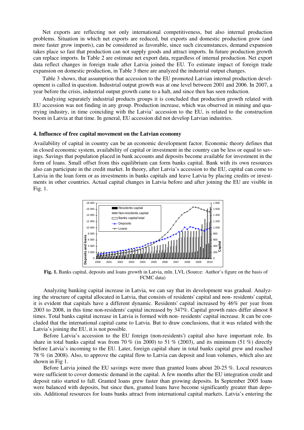Net exports are reflecting not only international competitiveness, but also internal production problems. Situation in which net exports are reduced, but exports and domestic production grow (and more faster grow imports), can be considered as favorable, since such circumstances, demand expansion takes place so fast that production can not supply goods and attract imports. In future production growth can replace imports. In Table 2 are estimate net export data, regardless of internal production. Net export data reflect changes in foreign trade after Latvia joined the EU. To estimate impact of foreign trade expansion on domestic production, in Table 3 there are analyzed the industrial output changes.

Table 3 shows, that assumption that accession to the EU promoted Latvian internal production development is called in question. Industrial output growth was at one level between 2001 and 2006. In 2007, a year before the crisis, industrial output growth came to a halt, and since then has seen reduction.

Analyzing separately industrial products groups it is concluded that production growth related with EU accession was not finding in any group. Production increase, which was observed in mining and quarrying industry, in time coinciding with the Latvia' accession to the EU, is related to the construction boom in Latvia at that time. In general, EU accession did not develop Latvian industries.

#### **4. Influence of free capital movement on the Latvian economy**

Availability of capital in country can be an economic development factor. Economic theory defines that in closed economic system, availability of capital or investment in the country can be less or equal to savings. Savings that population placed in bank accounts and deposits become available for investment in the form of loans. Small offset from this equilibrium can form banks capital. Bank with its own resources also can participate in the credit market. In theory, after Latvia's accession to the EU, capital can come to Latvia in the loan form or as investments in banks capitals and leave Latvia by placing credits or investments in other countries. Actual capital changes in Latvia before and after joining the EU are visible in Fig. 1.



**Fig. 1.** Banks capital, deposits and loans growth in Latvia, mln. LVL (Source: Author's figure on the basis of FCMC data)

Analyzing banking capital increase in Latvia, we can say that its development was gradual. Analyzing the structure of capital allocated in Latvia, that consists of residents' capital and non- residents' capital, it is evident that capitals have a different dynamic. Residents' capital increased by 46% per year from 2003 to 2008, in this time non-residents' capital increased by 347%. Capital growth rates differ almost 8 times. Total banks capital increase in Latvia is formed with non- residents' capital increase. It can be concluded that the international capital came to Latvia. But to draw conclusions, that it was related with the Latvia's joining the EU, it is not possible.

Before Latvia's accession to the EU foreign (non-residents') capital also have important role. Its share in total banks capital was from 70 % (in 2000) to 51 % (2003), and its minimum (51 %) directly before Latvia's incoming to the EU. Later, foreign capital share in total banks capital grew and reached 78 % (in 2008). Also, to approve the capital flow to Latvia can deposit and loan volumes, which also are shown in Fig 1.

Before Latvia joined the EU savings were more than granted loans about 20-25 %. Local resources were sufficient to cover domestic demand in the capital. A few months after the EU integration credit and deposit ratio started to fall. Granted loans grew faster than growing deposits. In September 2005 loans were balanced with deposits, but since then, granted loans have become significantly greater than deposits. Additional resources for loans banks attract from international capital markets. Latvia's entering the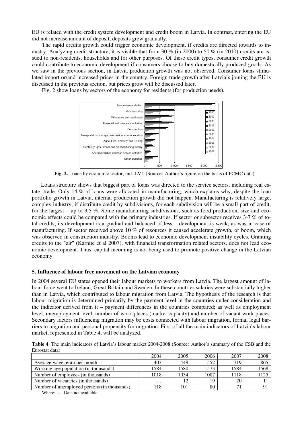EU is related with the credit system development and credit boom in Latvia. In contrast, entering the EU did not increase amount of deposit, deposits grew gradually.

The rapid credits growth could trigger economic development, if credits are directed towards to industry. Analyzing credit structure, it is visible that from  $30\%$  (in 2000) to  $50\%$  (in 2010) credits are issued to non-residents, households and for other purposes. Of these credit types, consumer credit growth could contribute to economic development if consumers choose to buy domestically produced goods. As we saw in the previous section, in Latvia production growth was not observed. Consumer loans stimulated import or/and increased prices in the country. Foreign trade growth after Latvia's joining the EU is discussed in the previous section, but prices grow will be discussed later.

Fig. 2 show loans by sectors of the economy for residents (for production needs).



**Fig. 2.** Loans by economic sector, mil. LVL (Source: Author's figure on the basis of FCMC data)

Loans structure shows that biggest part of loans was directed to the service sectors, including real estate, trade. Only 14 % of loans were allocated in manufacturing, which explains why, despite the loan portfolio growth in Latvia, internal production growth did not happen. Manufacturing is relatively large, complex industry, if distribute credit by subdivisions, for each subdivision will be a small part of credit, for the largest – up to 3.5 %. Some manufacturing subdivisions, such as food production, size and economic effects could be compared with the primary industries. If sector or subsector receives 3-7 % of total credits, its development is a gradual and balanced, if less – development is weak, as was in case of manufacturing. If sector received above 10 % of resources it caused accelerate growth, or boom, which was observed in construction industry. Booms lead to economic development instability cycles. Granting credits to the "air" (Karnite et al 2007), with financial transformation related sectors, does not lead economic development. Thus, capital incoming is not being used to promote positive change in the Latvian economy.

#### **5. Influence of labour free movement on the Latvian economy**

In 2004 several EU states opened their labour markets to workers from Latvia. The largest amount of labour force went to Ireland, Great Britain and Sweden. In these countries salaries were substantially higher than in Latvia, which contributed to labour migration from Latvia. The hypothesis of the research is that labour migration is determined primarily by the payment level in the countries under consideration and the indicator derived from it – payment differences in the countries compared; as well as employment level, unemployment level, number of work places (market capacity) and number of vacant work places. Secondary factors influencing migration may be costs connected with labour migration, formal legal barriers to migration and personal propensity for migration. First of all the main indicators of Latvia's labour market, represented in Table 4, will be analyzed.

**Table 4**. The main indicators of Latvia's labour market 2004-2008 (Source: Author's summary of the CSB and the Eurostat data)

|                                             | 2004     | 2005 | 2006 | 2007 | 2008 |
|---------------------------------------------|----------|------|------|------|------|
| Average wage, euro per month                | 403      | 449  | 552  | 719  | 865  |
| Working age population (in thousands)       | 1584     | 1580 | 1573 | 1584 | 1568 |
| Number of employees (in thousands)          | 1018     | 1034 | 1087 | 1118 | 1125 |
| Number of vacancies (in thousands)          | $\cdots$ | 12   | 19   | 20   |      |
| Number of unemployed persons (in thousands) | 18       | 101  | 80   |      |      |

Where: ... - Data not available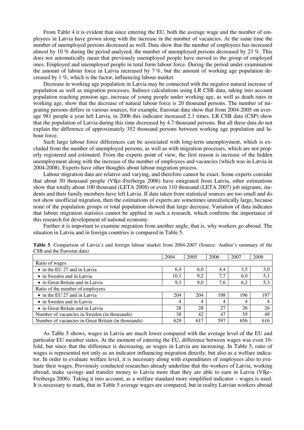From Table 4 it is evident that since entering the EU, both the average wage and the number of employees in Latvia have grown along with the increase in the number of vacancies. At the same time the number of unemployed persons decreased as well. Data show that the number of employees has increased almost by 10 % during the period analyzed, the number of unemployed persons decreased by 23 %. This does not automatically mean that previously unemployed people have moved to the group of employed ones. Employed and unemployed people in total form labour force. During the period under examination the amount of labour force in Latvia increased by 7 %, but the amount of working age population decreased by 1 %, which is the factor, influencing labour market.

Decrease in working age population in Latvia may be connected with the negative natural increase of population as well as migration processes. Indirect calculations using LR CSB data, taking into account population reaching pension age, increase of young people under working age, as well as death rates in working age, show that the decrease of natural labour force is 20 thousand persons. The number of migrating persons differs in various sources, for example, Eurostat data show that from 2004-2005 on average 981 people a year left Latvia, in 2006 this indicator increased 2.1 times. LR CSB data (CSP) show that the population of Latvia during this time decreased by 4.7 thousand persons. But all these data do not explain the difference of approximately 352 thousand persons between working age population and labour force.

Such large labour force differences can be associated with long-term unemployment, which is excluded from the number of unemployed persons, as well as with migration processes, which are not properly registered and estimated. From the experts point of view, the first reason is increase of the hidden unemployment along with the increase of the number of employees and vacancies (which was in Latvia in 2004-2008). Experts have other thoughts about labour migration process.

Labour migration data are relative and varying, and therefore cannot be exact. Some experts consider that about 50 thousand people (Vīėe–Freiberga 2006) have emigrated from Latvia, other estimations show that totally about 100 thousand (LETA 2008) or even 110 thousand (LETA 2007) job migrants, students and their family members have left Latvia. If data taken from statistical sources are too small and do not show unofficial migration, then the estimations of experts are sometimes unrealistically large, because none of the population groups or total population showed that large decrease. Variation of data indicates that labour migration statistics cannot be applied in such a research, which confirms the importance of this research for development of national economy.

Further it is important to examine migration from another angle, that is, why workers go abroad. The situation in Latvia and in foreign countries is compared in Table 5.

|                                                     | 2004           | 2005 | 2006 | 2007 | 2008 |
|-----------------------------------------------------|----------------|------|------|------|------|
| Ratio of wages                                      |                |      |      |      |      |
| • in the EU 27 and in Latvia                        | 6,4            | 6,0  | 4.4  | 3,5  | 3,0  |
| • in Sweden and in Latvia                           | 10,1           | 9,2  | 7.7  | 6,0  | 5,1  |
| • in Great Britain and in Latvia                    | 9,3            | 9,0  | 7,6  | 6,2  | 5,3  |
| Ratio of the number of employees                    |                |      |      |      |      |
| • in the EU 27 and in Latvia                        | 204            | 204  | 198  | 196  | 197  |
| • in Sweden and in Latvia                           | $\overline{4}$ | 4    | 4    | 4    | 4    |
| • in Great Britain and in Latvia                    | 28             | 28   | 27   | 26   | 26   |
| Number of vacancies in Sweden (in thousands)        | 38             | 42   | 47   | 55   | 49   |
| Number of vacancies in Great Britain (in thousands) | 629            | 617  | 597  | 656  | 616  |

**Table 5**. Comparison of Latvia's and foreign labour market from 2004-2007 (Source: Author's summary of the CSB and the Eurostat data)

As Table 5 shows, wages in Latvia are much lower compared with the average level of the EU and particular EU member states. At the moment of entering the EU, difference between wages was even 10 fold, but since that the difference is decreasing, as wages in Latvia are increasing. In Table 5, ratio of wages is represented not only as an indicator influencing migration directly, but also as a welfare indicator. In order to evaluate welfare level, it is necessary along with expenditures of employees also to evaluate their wages. Previously conducted researches already underline that the workers of Latvia, working abroad, make savings and transfer money to Latvia more than they are able to earn in Latvia (Vīėe– Freiberga 2006). Taking it into account, as a welfare standard more simplified indicator – wages is used. It is necessary to mark, that in Table 5 average wages are compared, but in reality Latvian workers abroad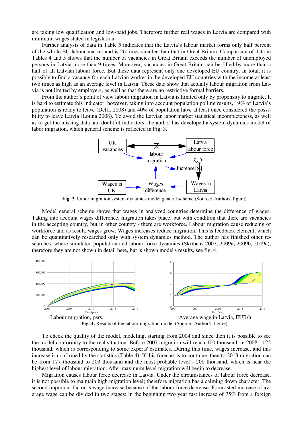are taking low qualification and low-paid jobs. Therefore further real wages in Latvia are compared with minimum wages stated in legislation.

Further analysis of data in Table 5 indicates that the Latvia's labour market forms only half percent of the whole EU labour market and is 26 times smaller than that in Great Britain. Comparison of data in Tables 4 and 5 shows that the number of vacancies in Great Britain exceeds the number of unemployed persons in Latvia more than 9 times. Moreover, vacancies in Great Britain can be filled by more than a half of all Latvian labour force. But these data represent only one developed EU country. In total, it is possible to find a vacancy for each Latvian worker in the developed EU countries with the income at least two times as high as an average level in Latvia. These data show that actually labour migration from Latvia is not limited by employers, as well as that there are no restrictive formal barriers.

From the author's point of view labour migration in Latvia is limited only by propensity to migrate. It is hard to estimate this indicator; however, taking into account population polling results, 19% of Latvia's population is ready to leave (Delfi, 2008) and 40% of population have at least once considered the possibility to leave Latvia (Lotina 2008). To avoid the Latvian labor market statistical incompleteness, as well as to get the missing data and doubtful indicators, the author has developed a system dynamics model of labor migration, which general scheme is reflected in Fig. 3.



**Fig. 3.** Labor migration system dynamics model general scheme (Source: Authors' figure)

Model general scheme shows that wages in analyzed countries determine the difference of wages. Taking into account wages difference, migration takes place, but with condition that there are vacancies in the accepting country, but in other country - there are workforce. Labour migration cause reducing of workforce and as result, wages grow. Wages increases reduce migration. This is feedback element, which can be quantitatively researched only with system dynamics method. The author has finished other researches, where simulated population and labour force dynamics (Skribans 2007, 2009a, 2009b, 2009c), therefore they are not shown in detail here, but is shown model's results, see fig. 4.



To check the quality of the model, modeling, starting from 2004 and since then it is possible to see the model conformity to the real situation. Before 2007 migration will reach 100 thousand, in 2008 - 122 thousand, which is corresponding to some experts' estimates. During this time, wages increase, and this increase is confirmed by the statistics (Table 4). If this forecast is to continue, then to 2013 migration can be from 177 thousand to 203 thousand and the most probable level - 200 thousand, which is near the highest level of labour migration. After maximum level migration will begin to decrease.

Migration causes labour force decrease in Latvia. Under the circumstances of labour force decrease, it is not possible to maintain high migration level; therefore migration has a calming down character. The second important factor is wage increase because of the labour force decrease. Forecasted increase of average wage can be divided in two stages: in the beginning two year fast increase of 75% from a foreign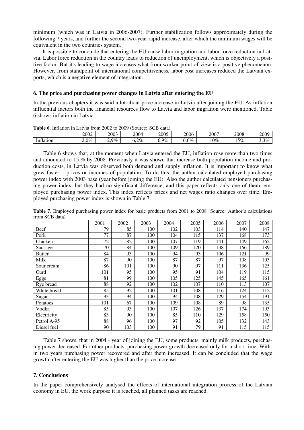minimum (which was in Latvia in 2006-2007). Further stabilization follows approximately during the following 7 years, and further the second two-year rapid increase, after which the minimum wages will be equivalent in the two countries system.

It is possible to conclude that entering the EU cause labor migration and labor force reduction in Latvia. Labor force reduction in the country leads to reduction of unemployment, which is objectively a positive factor. But it's leading to wage increases what from worker point of view is a positive phenomenon. However, from standpoint of international competitiveness, labor cost increases reduced the Latvian exports, which is a negative element of integration.

# **6. The price and purchasing power changes in Latvia after entering the EU**

In the previous chapters it was said a lot about price increase in Latvia after joining the EU. As inflation influential factors both the financial resources flow to Latvia and labor migration were mentioned. Table 6 shows inflation in Latvia.

|                           |              | <b>THURE 0.</b> HILBROID III LACTIC HOILL 2002 to 2007 |              | $1800$ and $1800$ and $1800$ |           |        |      |               |
|---------------------------|--------------|--------------------------------------------------------|--------------|------------------------------|-----------|--------|------|---------------|
|                           | 2002         | 2003                                                   | 2004         | 2005                         | 2006      | 2007   | 2008 | 2009          |
| $\sim$<br>Intla<br>latıon | $0\%$<br>∠.∪ | $9\%$<br><u>_ .</u>                                    | $2\%$<br>∪.∠ | $9\%$                        | 5%<br>v.v | $10\%$ | 5%   | $3\%$<br>ر. ر |

**Table 6**. Inflation in Latvia from 2002 to 2009 (Source: SCB data)

Table 6 shows that, at the moment when Latvia entered the EU, inflation rose more than two times and amounted to 15 % by 2008. Previously it was shown that increase both population income and production costs, in Latvia was observed both demand and supply inflation. It is important to know what grew faster – prices or incomes of population. To do this, the author calculated employed purchasing power index with 2003 base (year before joining the EU). Also the author calculated pensioners purchasing power index, but they had no significant difference, and this paper reflects only one of them, employed purchasing power index. This index reflects prices and net wages ratio changes over time. Employed purchasing power index is shown in Table 7.

**Table 7**. Employed purchasing power index for basic products from 2001 to 2008 (Source: Author's calculations from SCB data)

|               | 2001 | 2002 | 2003 | 2004 | 2005 | 2006 | 2007 | 2008 |
|---------------|------|------|------|------|------|------|------|------|
| Beef          | 79   | 85   | 100  | 102  | 103  | 114  | 140  | 147  |
| Pork          | 77   | 87   | 100  | 104  | 115  | 137  | 168  | 173  |
| Chicken       | 72   | 82   | 100  | 107  | 119  | 141  | 149  | 162  |
| Sausage       | 70   | 84   | 100  | 109  | 120  | 138  | 166  | 189  |
| <b>Butter</b> | 84   | 93   | 100  | 94   | 93   | 106  | 121  | 99   |
| Milk          | 87   | 90   | 100  | 87   | 87   | 97   | 108  | 103  |
| Sour cream    | 86   | 101  | 100  | 90   | 97   | 111  | 136  | 125  |
| Curd          | 101  | 95   | 100  | 95   | 91   | 104  | 119  | 115  |
| Eggs          | 81   | 99   | 100  | 105  | 125  | 145  | 165  | 161  |
| Rye bread     | 88   | 92   | 100  | 102  | 107  | 110  | 113  | 107  |
| White bread   | 85   | 92   | 100  | 101  | 108  | 116  | 124  | 112  |
| Sugar         | 93   | 94   | 100  | 94   | 108  | 129  | 154  | 191  |
| Potatoes      | 101  | 67   | 100  | 109  | 108  | 89   | 98   | 135  |
| Vodka         | 85   | 93   | 100  | 107  | 126  | 137  | 174  | 193  |
| Electricity   | 83   | 90   | 100  | 85   | 110  | 129  | 158  | 150  |
| Petrol A-95   | 88   | 96   | 100  | 97   | 92   | 105  | 132  | 143  |
| Diesel fuel   | 90   | 103  | 100  | 91   | 79   | 91   | 115  | 115  |

Table 7 shows, that in 2004 - year of joining the EU, some products, mainly milk products, purchasing power decreased. For other products, purchasing power growth decreased only for a short time. Within two years purchasing power recovered and after them increased. It can be concluded that the wage growth after entering the EU was higher than the price increase.

# **7. Conclusions**

In the paper comprehensively analysed the effects of international integration process of the Latvian economy in EU, the work purpose it is reached, all planned tasks are reached.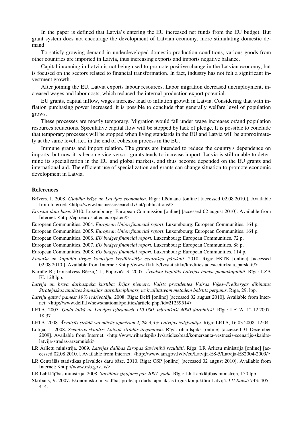In the paper is defined that Latvia's entering the EU increased net funds from the EU budget. But grant system does not encourage the development of Latvian economy, more stimulating domestic demand.

To satisfy growing demand in underdeveloped domestic production conditions, various goods from other countries are imported in Latvia, thus increasing exports and imports negative balance.

Capital incoming in Latvia is not being used to promote positive change in the Latvian economy, but is focused on the sectors related to financial transformation. In fact, industry has not felt a significant investment growth.

After joining the EU, Latvia exports labour resources. Labor migration decreased unemployment, increased wages and labor costs, which reduced the internal production export potential.

EU grants, capital inflow, wages increase lead to inflation growth in Latvia. Considering that with inflation purchasing power increased, it is possible to conclude that generally welfare level of population grows.

These processes are mostly temporary. Migration would fall under wage increases or/and population resources reductions. Speculative capital flow will be stopped by lack of pledge. It is possible to conclude that temporary processes will be stopped when living standards in the EU and Latvia will be approximately at the same level, i.e., in the end of cohesion process in the EU.

Immune grants and import relation. The grants are intended to reduce the country's dependence on imports, but now it is become vice versa - grants tends to increase import. Latvia is still unable to determine its specialization in the EU and global markets, and thus become depended on the EU grants and international aid. The efficient use of specialization and grants can change situation to promote economic development in Latvia.

#### **References**

- Brīvers, I. 2008. *Globāla krīze un Latvijas ekonomika*. Riga: Lēdmane [online] [accessed 02.08.2010.]. Available from Internet: <http://www.businessresearch.lv/lat/publications/>
- *Eirostat data base.* 2010. Luxembourg: European Commission [online] [accessed 02 august 2010]. Available from Internet: <http://epp.eurostat.ec.europa.eu/>

European Communities. 2004. *European Union financial report*. Luxembourg: European Communities. 164 p.

European Communities. 2005. *European Union financial report*. Luxembourg: European Communities. 164 p.

European Communities. 2006. *EU budget financial report*. Luxembourg: European Communities. 72 p.

European Communities. 2007. *EU budget financial report*. Luxembourg: European Communities. 88 p.

European Communities. 2008. *EU budget financial report*. Luxembourg: European Communities. 114 p.

- *Finanšu un kapitāla tirgus komisijas kredītiestāžu ceturkšĦa pārskati.* 2010. Riga: FKTK [online] [accessed 02.08.2010.]. Available from Internet: <http://www.fktk.lv/lv/statistika/kreditiestades/ceturksna\_parskati/>
- Karnīte R.; Gonsalvess-Bērziņš I.; Popoviča S. 2007. *Ārvalstu kapitāls Latvijas banku pamatkapitālā*. Rīga: LZA EI. 128 lpp.
- Latvija un brīva darbaspēka kustība: Īrijas piemērs. Valsts prezidentes Vairas Vīķes-Freibergas dibinātās Stratēģiskās analīzes komisijas starpdisciplinārs, uz kvalitatīvām metodēm balstīts pētījums. Rīga, 29. lpp.
- *Latviju gatavi pamest 19% iedzīvotāju.* 2008. Rīga: Delfi [online] [accessed 02 august 2010]. Available from Internet: <http://www.delfi.lv/news/national/politics/article.php?id=21259514>
- LETA. 2007. *Gada laikā no Latvijas izbraukuši 110 000, iebraukuši 4000 darbinieki*. Rīga: LETA, 12.12.2007. 18:37

LETA. 2008. Ārvalstīs strādā vai mācās apmēram 2,2%-4,3% Latvijas iedzīvotāju. Rīga: LETA, 16.03.2008. 12:04

- LotiĦa, L. 2008. *Scenārijs skaidrs: Latvijā strādās ārzemnieki.* Rīga: rihardspiks [online] [accessed 31 December 2009]. Available from Internet: <http://www.rihardspiks.lv/articles/read/komersanta-vestnesis-scenarijs-skaidrslatvija-stradas-arzemnieki>
- LR Ārlietu ministrija. 2009. *Latvijas dalības Eiropas Savienībā rezultāti*. Rīga: LR Ārlietu ministrija [online] [accessed 02.08.2010.]. Available from Internet: <http://www.am.gov.lv/lv/eu/Latvija-ES-5/Latvija-ES2004-2009/>
- LR Centrālās statistikas pārvaldes datu bāze. 2010. Riga: CSP [online] [accessed 02 august 2010]. Available from Internet: <http://www.csb.gov.lv/>

LR Labklājības ministrija. 2008. *Sociālais ziĦojums par 2007. gadu*. Rīga: LR Labklājības ministrija, 150 lpp.

Skribans, V. 2007. Ekonomisko un vadības profesiju darba apmaksas tirgus konjuktūra Latvijā. *LU Raksti* 743: 405– 414.